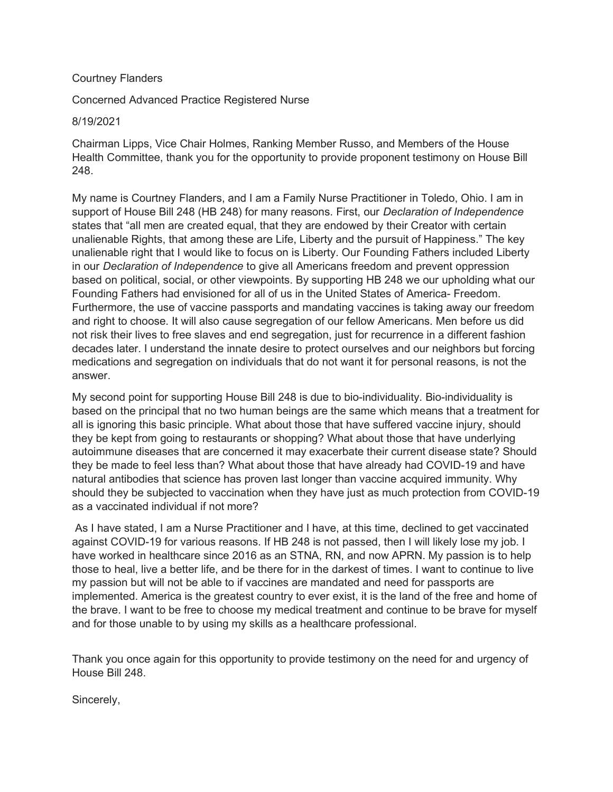## Courtney Flanders

Concerned Advanced Practice Registered Nurse

8/19/2021

Chairman Lipps, Vice Chair Holmes, Ranking Member Russo, and Members of the House Health Committee, thank you for the opportunity to provide proponent testimony on House Bill 248.

My name is Courtney Flanders, and I am a Family Nurse Practitioner in Toledo, Ohio. I am in support of House Bill 248 (HB 248) for many reasons. First, our *Declaration of Independence* states that "all men are created equal, that they are endowed by their Creator with certain unalienable Rights, that among these are Life, Liberty and the pursuit of Happiness." The key unalienable right that I would like to focus on is Liberty. Our Founding Fathers included Liberty in our Declaration of Independence to give all Americans freedom and prevent oppression based on political, social, or other viewpoints. By supporting HB 248 we our upholding what our Founding Fathers had envisioned for all of us in the United States of America- Freedom. Furthermore, the use of vaccine passports and mandating vaccines is taking away our freedom and right to choose. It will also cause segregation of our fellow Americans. Men before us did not risk their lives to free slaves and end segregation, just for recurrence in a different fashion decades later. I understand the innate desire to protect ourselves and our neighbors but forcing medications and segregation on individuals that do not want it for personal reasons, is not the answer.

My second point for supporting House Bill 248 is due to bio-individuality. Bio-individuality is based on the principal that no two human beings are the same which means that a treatment for all is ignoring this basic principle. What about those that have suffered vaccine injury, should they be kept from going to restaurants or shopping? What about those that have underlying autoimmune diseases that are concerned it may exacerbate their current disease state? Should they be made to feel less than? What about those that have already had COVID-19 and have natural antibodies that science has proven last longer than vaccine acquired immunity. Why should they be subjected to vaccination when they have just as much protection from COVID-19 as a vaccinated individual if not more?

 As I have stated, I am a Nurse Practitioner and I have, at this time, declined to get vaccinated against COVID-19 for various reasons. If HB 248 is not passed, then I will likely lose my job. I have worked in healthcare since 2016 as an STNA, RN, and now APRN. My passion is to help those to heal, live a better life, and be there for in the darkest of times. I want to continue to live my passion but will not be able to if vaccines are mandated and need for passports are implemented. America is the greatest country to ever exist, it is the land of the free and home of the brave. I want to be free to choose my medical treatment and continue to be brave for myself and for those unable to by using my skills as a healthcare professional.

Thank you once again for this opportunity to provide testimony on the need for and urgency of House Bill 248.

Sincerely,